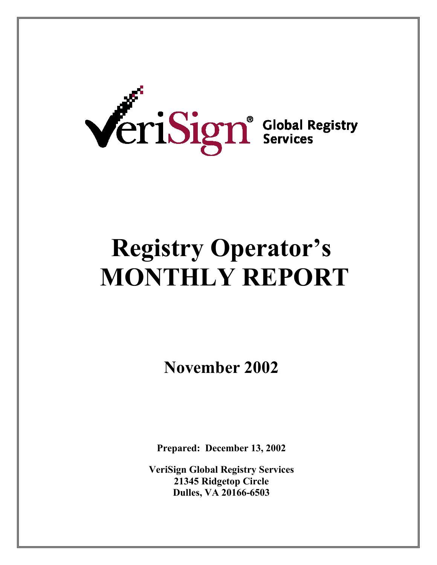

# **Registry Operator's MONTHLY REPORT**

**November 2002** 

**Prepared: December 13, 2002** 

**VeriSign Global Registry Services 21345 Ridgetop Circle Dulles, VA 20166-6503**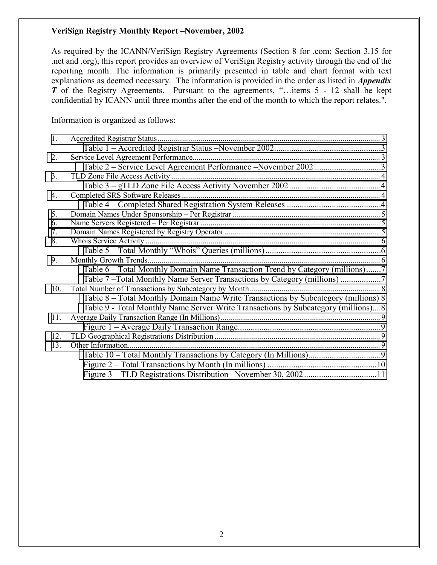As required by the ICANN/VeriSign Registry Agreements (Section 8 for .com; Section 3.15 for .net and .org), this report provides an overview of VeriSign Registry activity through the end of the reporting month. The information is primarily presented in table and chart format with text explanations as deemed necessary. The information is provided in the order as listed in *Appendix T* of the Registry Agreements. Pursuant to the agreements, "...items 5 - 12 shall be kept confidential by ICANN until three months after the end of the month to which the report relates.".

Information is organized as follows:

| 1.  |                                                                                    |  |
|-----|------------------------------------------------------------------------------------|--|
|     |                                                                                    |  |
| 2.  |                                                                                    |  |
|     | Table 2 – Service Level Agreement Performance – November 2002 3                    |  |
| 3.  |                                                                                    |  |
|     |                                                                                    |  |
| 4.  | Completed SRS Software Releases                                                    |  |
|     |                                                                                    |  |
| 5.  |                                                                                    |  |
| 6.  |                                                                                    |  |
| 7.  |                                                                                    |  |
| 8.  | Whois Service Activity                                                             |  |
|     |                                                                                    |  |
| 9.  | Monthly Growth Trends.                                                             |  |
|     | Table 6 – Total Monthly Domain Name Transaction Trend by Category (millions)7      |  |
|     | Table 7-Total Monthly Name Server Transactions by Category (millions)              |  |
| 10. | Total Number of Transactions by Subcategory by Month                               |  |
|     | Table 8 – Total Monthly Domain Name Write Transactions by Subcategory (millions) 8 |  |
|     | Table 9 - Total Monthly Name Server Write Transactions by Subcategory (millions)8  |  |
| 11. |                                                                                    |  |
|     |                                                                                    |  |
| 12. |                                                                                    |  |
| 13. | Other Information.                                                                 |  |
|     |                                                                                    |  |
|     |                                                                                    |  |
|     |                                                                                    |  |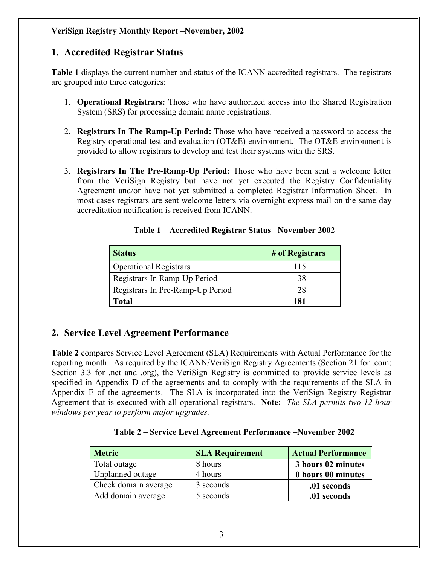#### <span id="page-2-0"></span>**1. Accredited Registrar Status**

**Table 1** displays the current number and status of the ICANN accredited registrars. The registrars are grouped into three categories:

- 1. **Operational Registrars:** Those who have authorized access into the Shared Registration System (SRS) for processing domain name registrations.
- 2. **Registrars In The Ramp-Up Period:** Those who have received a password to access the Registry operational test and evaluation (OT&E) environment. The OT&E environment is provided to allow registrars to develop and test their systems with the SRS.
- 3. **Registrars In The Pre-Ramp-Up Period:** Those who have been sent a welcome letter from the VeriSign Registry but have not yet executed the Registry Confidentiality Agreement and/or have not yet submitted a completed Registrar Information Sheet. In most cases registrars are sent welcome letters via overnight express mail on the same day accreditation notification is received from ICANN.

| <b>Status</b>                    | # of Registrars |
|----------------------------------|-----------------|
| <b>Operational Registrars</b>    | 115             |
| Registrars In Ramp-Up Period     | 38              |
| Registrars In Pre-Ramp-Up Period | 28              |
| Total                            | 181             |

**Table 1 – Accredited Registrar Status –November 2002** 

## **2. Service Level Agreement Performance**

**Table 2** compares Service Level Agreement (SLA) Requirements with Actual Performance for the reporting month. As required by the ICANN/VeriSign Registry Agreements (Section 21 for .com; Section 3.3 for .net and .org), the VeriSign Registry is committed to provide service levels as specified in Appendix D of the agreements and to comply with the requirements of the SLA in Appendix E of the agreements. The SLA is incorporated into the VeriSign Registry Registrar Agreement that is executed with all operational registrars. **Note:** *The SLA permits two 12-hour windows per year to perform major upgrades.* 

|  |  | Table 2 – Service Level Agreement Performance – November 2002 |  |
|--|--|---------------------------------------------------------------|--|
|  |  |                                                               |  |

| <b>Metric</b>        | <b>SLA Requirement</b> | <b>Actual Performance</b> |
|----------------------|------------------------|---------------------------|
| Total outage         | 8 hours                | 3 hours 02 minutes        |
| Unplanned outage     | 4 hours                | 0 hours 00 minutes        |
| Check domain average | 3 seconds              | .01 seconds               |
| Add domain average   | 5 seconds              | .01 seconds               |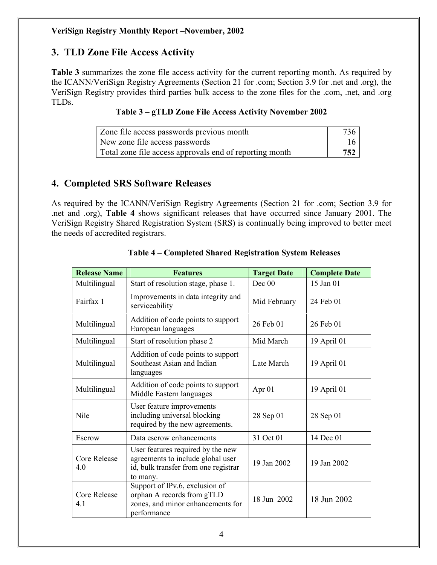## <span id="page-3-0"></span>**3. TLD Zone File Access Activity**

**Table 3** summarizes the zone file access activity for the current reporting month. As required by the ICANN/VeriSign Registry Agreements (Section 21 for .com; Section 3.9 for .net and .org), the VeriSign Registry provides third parties bulk access to the zone files for the .com, .net, and .org TLDs.

|  |  | Table 3 – gTLD Zone File Access Activity November 2002 |
|--|--|--------------------------------------------------------|
|--|--|--------------------------------------------------------|

| Zone file access passwords previous month               |     |
|---------------------------------------------------------|-----|
| New zone file access passwords                          |     |
| Total zone file access approvals end of reporting month | 752 |

#### **4. Completed SRS Software Releases**

As required by the ICANN/VeriSign Registry Agreements (Section 21 for .com; Section 3.9 for .net and .org), **Table 4** shows significant releases that have occurred since January 2001. The VeriSign Registry Shared Registration System (SRS) is continually being improved to better meet the needs of accredited registrars.

| <b>Release Name</b>        | <b>Features</b>                                                                                                            |              | <b>Complete Date</b> |
|----------------------------|----------------------------------------------------------------------------------------------------------------------------|--------------|----------------------|
| Multilingual               | Start of resolution stage, phase 1.                                                                                        | Dec 00       | 15 Jan 01            |
| Fairfax 1                  | Improvements in data integrity and<br>serviceability                                                                       | Mid February | 24 Feb 01            |
| Multilingual               | Addition of code points to support<br>European languages                                                                   | 26 Feb 01    | 26 Feb 01            |
| Multilingual               | Start of resolution phase 2                                                                                                | Mid March    | 19 April 01          |
| Multilingual               | Addition of code points to support<br>Southeast Asian and Indian<br>languages                                              | Late March   | 19 April 01          |
| Multilingual               | Addition of code points to support<br>Middle Eastern languages                                                             | Apr 01       | 19 April 01          |
| Nile                       | User feature improvements<br>including universal blocking<br>required by the new agreements.                               | 28 Sep 01    | 28 Sep 01            |
| Escrow                     | Data escrow enhancements                                                                                                   | 31 Oct 01    | 14 Dec 01            |
| <b>Core Release</b><br>4.0 | User features required by the new<br>agreements to include global user<br>id, bulk transfer from one registrar<br>to many. | 19 Jan 2002  | 19 Jan 2002          |
| Core Release<br>41         | Support of IPv.6, exclusion of<br>orphan A records from gTLD<br>zones, and minor enhancements for<br>performance           | 18 Jun 2002  | 18 Jun 2002          |

#### **Table 4 – Completed Shared Registration System Releases**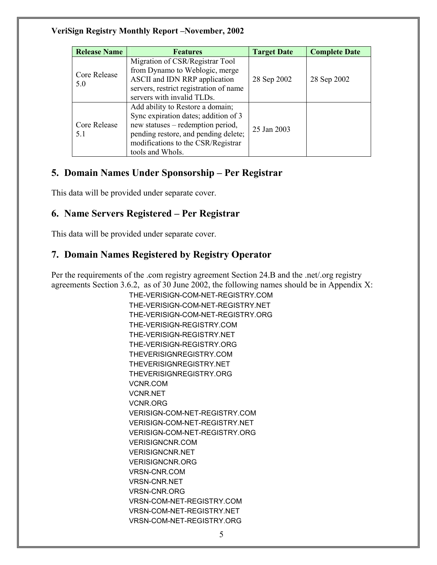<span id="page-4-0"></span>

| <b>Release Name</b> | <b>Features</b>                                                                                                                                                                                                 | <b>Target Date</b> | <b>Complete Date</b> |
|---------------------|-----------------------------------------------------------------------------------------------------------------------------------------------------------------------------------------------------------------|--------------------|----------------------|
| Core Release<br>5.0 | Migration of CSR/Registrar Tool<br>from Dynamo to Weblogic, merge<br>ASCII and IDN RRP application<br>servers, restrict registration of name<br>servers with invalid TLDs.                                      | 28 Sep 2002        | 28 Sep 2002          |
| Core Release<br>5.1 | Add ability to Restore a domain;<br>Sync expiration dates; addition of 3<br>new statuses – redemption period,<br>pending restore, and pending delete;<br>modifications to the CSR/Registrar<br>tools and WhoIs. | 25 Jan 2003        |                      |

## **5. Domain Names Under Sponsorship – Per Registrar**

This data will be provided under separate cover.

## **6. Name Servers Registered – Per Registrar**

This data will be provided under separate cover.

## **7. Domain Names Registered by Registry Operator**

Per the requirements of the .com registry agreement Section 24.B and the .net/.org registry agreements Section 3.6.2, as of 30 June 2002, the following names should be in Appendix X:

> THE-VERISIGN-COM-NET-REGISTRY.COM THE-VERISIGN-COM-NET-REGISTRY.NET THE-VERISIGN-COM-NET-REGISTRY.ORG THE-VERISIGN-REGISTRY.COM THE-VERISIGN-REGISTRY.NET THE-VERISIGN-REGISTRY.ORG THEVERISIGNREGISTRY.COM THEVERISIGNREGISTRY.NET THEVERISIGNREGISTRY.ORG VCNR.COM VCNR.NET VCNR.ORG VERISIGN-COM-NET-REGISTRY.COM VERISIGN-COM-NET-REGISTRY.NET VERISIGN-COM-NET-REGISTRY.ORG VERISIGNCNR.COM VERISIGNCNR.NET VERISIGNCNR.ORG VRSN-CNR.COM VRSN-CNR.NET VRSN-CNR.ORG VRSN-COM-NET-REGISTRY.COM VRSN-COM-NET-REGISTRY.NET VRSN-COM-NET-REGISTRY.ORG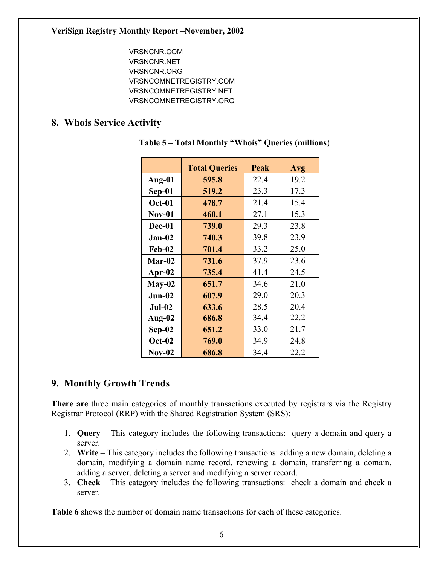VRSNCNR.COM VRSNCNR.NET VRSNCNR.ORG VRSNCOMNETREGISTRY.COM VRSNCOMNETREGISTRY.NET VRSNCOMNETREGISTRY.ORG

#### <span id="page-5-0"></span>**8. Whois Service Activity**

|               | <b>Total Queries</b> | Peak | Avg  |
|---------------|----------------------|------|------|
| Aug-01        | 595.8                | 22.4 | 19.2 |
| $Sep-01$      | 519.2                | 23.3 | 17.3 |
| <b>Oct-01</b> | 478.7                | 21.4 | 15.4 |
| $Nov-01$      | 460.1                | 27.1 | 15.3 |
| Dec-01        | 739.0                | 29.3 | 23.8 |
| Jan-02        | 740.3                | 39.8 | 23.9 |
| <b>Feb-02</b> | 701.4                | 33.2 | 25.0 |
| Mar-02        | 731.6                | 37.9 | 23.6 |
| Apr- $02$     | 735.4                | 41.4 | 24.5 |
| $May-02$      | 651.7                | 34.6 | 21.0 |
| $Jun-02$      | 607.9                | 29.0 | 20.3 |
| $Jul-02$      | 633.6                | 28.5 | 20.4 |
| Aug- $02$     | 686.8                | 34.4 | 22.2 |
| $Sep-02$      | 651.2                | 33.0 | 21.7 |
| $Oct-02$      | 769.0                | 34.9 | 24.8 |
| $Nov-02$      | 686.8                | 34.4 | 22.2 |

**Table 5 – Total Monthly "Whois" Queries (millions**)

## **9. Monthly Growth Trends**

**There are** three main categories of monthly transactions executed by registrars via the Registry Registrar Protocol (RRP) with the Shared Registration System (SRS):

- 1. **Query** This category includes the following transactions: query a domain and query a server.
- 2. **Write**  This category includes the following transactions: adding a new domain, deleting a domain, modifying a domain name record, renewing a domain, transferring a domain, adding a server, deleting a server and modifying a server record.
- 3. **Check** This category includes the following transactions: check a domain and check a server.

**Table 6** shows the number of domain name transactions for each of these categories.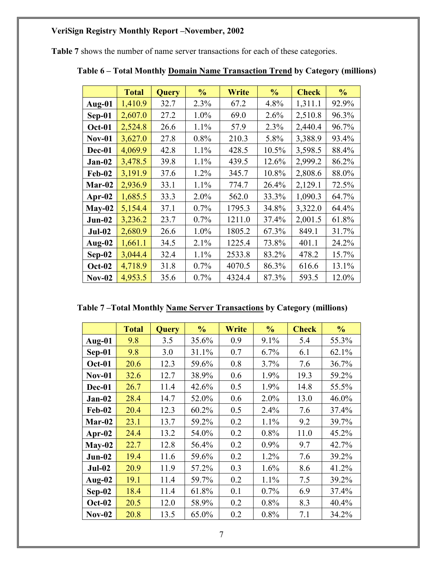<span id="page-6-0"></span>**Table 7** shows the number of name server transactions for each of these categories.

|               | <b>Total</b> | <b>Query</b> | $\frac{0}{0}$ | Write  | $\frac{0}{0}$ | <b>Check</b> | $\frac{0}{0}$ |
|---------------|--------------|--------------|---------------|--------|---------------|--------------|---------------|
| Aug-01        | 1,410.9      | 32.7         | 2.3%          | 67.2   | 4.8%          | 1,311.1      | 92.9%         |
| $Sep-01$      | 2,607.0      | 27.2         | 1.0%          | 69.0   | 2.6%          | 2,510.8      | 96.3%         |
| <b>Oct-01</b> | 2,524.8      | 26.6         | 1.1%          | 57.9   | 2.3%          | 2,440.4      | 96.7%         |
| <b>Nov-01</b> | 3,627.0      | 27.8         | 0.8%          | 210.3  | 5.8%          | 3,388.9      | 93.4%         |
| Dec-01        | 4,069.9      | 42.8         | 1.1%          | 428.5  | 10.5%         | 3,598.5      | 88.4%         |
| $Jan-02$      | 3,478.5      | 39.8         | 1.1%          | 439.5  | 12.6%         | 2,999.2      | 86.2%         |
| <b>Feb-02</b> | 3,191.9      | 37.6         | 1.2%          | 345.7  | 10.8%         | 2,808.6      | 88.0%         |
| Mar-02        | 2,936.9      | 33.1         | 1.1%          | 774.7  | 26.4%         | 2,129.1      | 72.5%         |
| Apr- $02$     | 1,685.5      | 33.3         | 2.0%          | 562.0  | 33.3%         | 1,090.3      | 64.7%         |
| $May-02$      | 5,154.4      | 37.1         | 0.7%          | 1795.3 | 34.8%         | 3,322.0      | 64.4%         |
| $Jun-02$      | 3,236.2      | 23.7         | 0.7%          | 1211.0 | 37.4%         | 2,001.5      | 61.8%         |
| $Jul-02$      | 2,680.9      | 26.6         | 1.0%          | 1805.2 | 67.3%         | 849.1        | 31.7%         |
| Aug- $02$     | 1,661.1      | 34.5         | 2.1%          | 1225.4 | 73.8%         | 401.1        | 24.2%         |
| $Sep-02$      | 3,044.4      | 32.4         | 1.1%          | 2533.8 | 83.2%         | 478.2        | 15.7%         |
| <b>Oct-02</b> | 4,718.9      | 31.8         | 0.7%          | 4070.5 | 86.3%         | 616.6        | 13.1%         |
| $Nov-02$      | 4,953.5      | 35.6         | 0.7%          | 4324.4 | 87.3%         | 593.5        | 12.0%         |

|  | Table 6 – Total Monthly Domain Name Transaction Trend by Category (millions) |
|--|------------------------------------------------------------------------------|
|  |                                                                              |

**Table 7 –Total Monthly Name Server Transactions by Category (millions)** 

|               | <b>Total</b> | <b>Query</b> | $\frac{0}{0}$ | Write | $\frac{0}{0}$ | <b>Check</b> | $\frac{0}{0}$ |
|---------------|--------------|--------------|---------------|-------|---------------|--------------|---------------|
| Aug-01        | 9.8          | 3.5          | 35.6%         | 0.9   | 9.1%          | 5.4          | 55.3%         |
| Sep-01        | 9.8          | 3.0          | 31.1%         | 0.7   | 6.7%          | 6.1          | 62.1%         |
| Oct-01        | 20.6         | 12.3         | 59.6%         | 0.8   | 3.7%          | 7.6          | 36.7%         |
| $Nov-01$      | 32.6         | 12.7         | 38.9%         | 0.6   | 1.9%          | 19.3         | 59.2%         |
| Dec-01        | 26.7         | 11.4         | 42.6%         | 0.5   | 1.9%          | 14.8         | 55.5%         |
| $Jan-02$      | 28.4         | 14.7         | 52.0%         | 0.6   | 2.0%          | 13.0         | 46.0%         |
| <b>Feb-02</b> | 20.4         | 12.3         | 60.2%         | 0.5   | 2.4%          | 7.6          | 37.4%         |
| $Mar-02$      | 23.1         | 13.7         | 59.2%         | 0.2   | 1.1%          | 9.2          | 39.7%         |
| Apr- $02$     | 24.4         | 13.2         | 54.0%         | 0.2   | 0.8%          | 11.0         | 45.2%         |
| $May-02$      | 22.7         | 12.8         | 56.4%         | 0.2   | 0.9%          | 9.7          | 42.7%         |
| $Jun-02$      | 19.4         | 11.6         | 59.6%         | 0.2   | 1.2%          | 7.6          | 39.2%         |
| $Jul-02$      | 20.9         | 11.9         | 57.2%         | 0.3   | 1.6%          | 8.6          | 41.2%         |
| Aug- $02$     | 19.1         | 11.4         | 59.7%         | 0.2   | 1.1%          | 7.5          | 39.2%         |
| $Sep-02$      | 18.4         | 11.4         | 61.8%         | 0.1   | 0.7%          | 6.9          | 37.4%         |
| <b>Oct-02</b> | 20.5         | 12.0         | 58.9%         | 0.2   | 0.8%          | 8.3          | 40.4%         |
| $Nov-02$      | 20.8         | 13.5         | 65.0%         | 0.2   | 0.8%          | 7.1          | 34.2%         |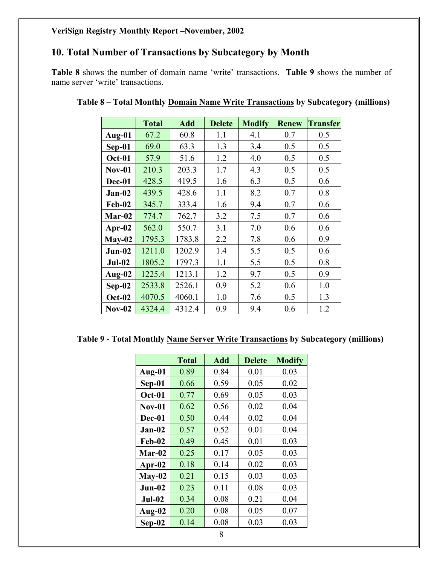## <span id="page-7-0"></span>**10. Total Number of Transactions by Subcategory by Month**

**Table 8** shows the number of domain name 'write' transactions. **Table 9** shows the number of name server 'write' transactions.

|               | <b>Total</b> | <b>Add</b> | <b>Delete</b> | <b>Modify</b> | <b>Renew</b> | <b>Transfer</b> |
|---------------|--------------|------------|---------------|---------------|--------------|-----------------|
| Aug-01        | 67.2         | 60.8       | 1.1           | 4.1           | 0.7          | 0.5             |
| Sep-01        | 69.0         | 63.3       | 1.3           | 3.4           | 0.5          | 0.5             |
| <b>Oct-01</b> | 57.9         | 51.6       | 1.2           | 4.0           | 0.5          | 0.5             |
| <b>Nov-01</b> | 210.3        | 203.3      | 1.7           | 4.3           | 0.5          | 0.5             |
| Dec-01        | 428.5        | 419.5      | 1.6           | 6.3           | 0.5          | 0.6             |
| Jan-02        | 439.5        | 428.6      | 1.1           | 8.2           | 0.7          | 0.8             |
| <b>Feb-02</b> | 345.7        | 333.4      | 1.6           | 9.4           | 0.7          | 0.6             |
| Mar-02        | 774.7        | 762.7      | 3.2           | 7.5           | 0.7          | 0.6             |
| Apr- $02$     | 562.0        | 550.7      | 3.1           | 7.0           | 0.6          | 0.6             |
| $May-02$      | 1795.3       | 1783.8     | 2.2           | 7.8           | 0.6          | 0.9             |
| $Jun-02$      | 1211.0       | 1202.9     | 1.4           | 5.5           | 0.5          | 0.6             |
| $Jul-02$      | 1805.2       | 1797.3     | 1.1           | 5.5           | 0.5          | 0.8             |
| Aug-02        | 1225.4       | 1213.1     | 1.2           | 9.7           | 0.5          | 0.9             |
| $Sep-02$      | 2533.8       | 2526.1     | 0.9           | 5.2           | 0.6          | 1.0             |
| <b>Oct-02</b> | 4070.5       | 4060.1     | 1.0           | 7.6           | 0.5          | 1.3             |
| $Nov-02$      | 4324.4       | 4312.4     | 0.9           | 9.4           | 0.6          | 1.2             |

| Table 8 - Total Monthly Domain Name Write Transactions by Subcategory (millions) |  |  |  |
|----------------------------------------------------------------------------------|--|--|--|
|                                                                                  |  |  |  |

| Table 9 - Total Monthly Name Server Write Transactions by Subcategory (millions) |  |
|----------------------------------------------------------------------------------|--|
|----------------------------------------------------------------------------------|--|

|          | <b>Total</b> | <b>Add</b> | <b>Delete</b> | <b>Modify</b> |
|----------|--------------|------------|---------------|---------------|
| Aug-01   | 0.89         | 0.84       | 0.01          | 0.03          |
| $Sep-01$ | 0.66         | 0.59       | 0.05          | 0.02          |
| Oct-01   | 0.77         | 0.69       | 0.05          | 0.03          |
| $Nov-01$ | 0.62         | 0.56       | 0.02          | 0.04          |
| Dec-01   | 0.50         | 0.44       | 0.02          | 0.04          |
| $Jan-02$ | 0.57         | 0.52       | 0.01          | 0.04          |
| Feb-02   | 0.49         | 0.45       | 0.01          | 0.03          |
| Mar-02   | 0.25         | 0.17       | 0.05          | 0.03          |
| Apr-02   | 0.18         | 0.14       | 0.02          | 0.03          |
| $May-02$ | 0.21         | 0.15       | 0.03          | 0.03          |
| $Jun-02$ | 0.23         | 0.11       | 0.08          | 0.03          |
| $Jul-02$ | 0.34         | 0.08       | 0.21          | 0.04          |
| Aug-02   | 0.20         | 0.08       | 0.05          | 0.07          |
| $Sep-02$ | 0.14         | 0.08       | 0.03          | 0.03          |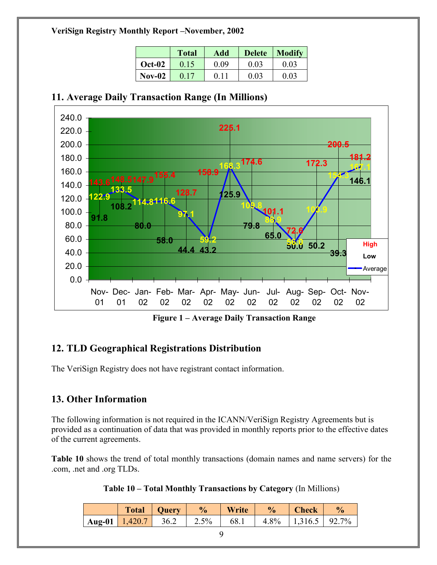|               | <b>Total</b> | Add  | <b>Delete</b> | <b>Modify</b> |  |
|---------------|--------------|------|---------------|---------------|--|
| <b>Oct-02</b> | 0.15         | 0.09 | 0.03          | 0.03          |  |
| $Nov-02$      |              |      | 0.03          | 0.03          |  |

## <span id="page-8-0"></span>**11. Average Daily Transaction Range (In Millions)**



**Figure 1 – Average Daily Transaction Range**

## **12. TLD Geographical Registrations Distribution**

The VeriSign Registry does not have registrant contact information.

## **13. Other Information**

The following information is not required in the ICANN/VeriSign Registry Agreements but is provided as a continuation of data that was provided in monthly reports prior to the effective dates of the current agreements.

**Table 10** shows the trend of total monthly transactions (domain names and name servers) for the .com, .net and .org TLDs.

|  |  |  |  |  | Table 10 – Total Monthly Transactions by Category (In Millions) |
|--|--|--|--|--|-----------------------------------------------------------------|
|--|--|--|--|--|-----------------------------------------------------------------|

|                                | <b>Total</b> | Ouerv | $\frac{6}{6}$ | Write | $\frac{0}{0}$ | <b>Check</b>              | $\frac{1}{2}$ |
|--------------------------------|--------------|-------|---------------|-------|---------------|---------------------------|---------------|
| $\vert$ Aug-01 $\vert$ 1,420.7 |              | 36.2  | $12.5\%$      | 68.1  |               | $4.8\%$   1,316.5   92.7% |               |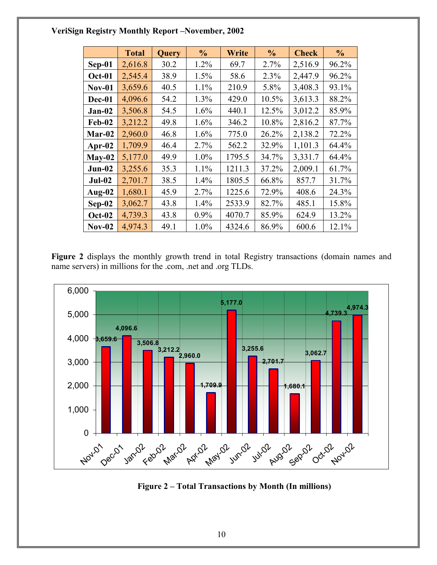<span id="page-9-0"></span>

|               | <b>Total</b> | Query | $\frac{6}{10}$ | Write  | $\frac{0}{0}$ | <b>Check</b> | $\frac{6}{6}$ |
|---------------|--------------|-------|----------------|--------|---------------|--------------|---------------|
| $Sep-01$      | 2,616.8      | 30.2  | 1.2%           | 69.7   | 2.7%          | 2,516.9      | 96.2%         |
| <b>Oct-01</b> | 2,545.4      | 38.9  | 1.5%           | 58.6   | 2.3%          | 2,447.9      | 96.2%         |
| $Nov-01$      | 3,659.6      | 40.5  | 1.1%           | 210.9  | 5.8%          | 3,408.3      | 93.1%         |
| Dec-01        | 4,096.6      | 54.2  | $1.3\%$        | 429.0  | 10.5%         | 3,613.3      | 88.2%         |
| $Jan-02$      | 3,506.8      | 54.5  | 1.6%           | 440.1  | 12.5%         | 3,012.2      | 85.9%         |
| <b>Feb-02</b> | 3,212.2      | 49.8  | 1.6%           | 346.2  | 10.8%         | 2,816.2      | 87.7%         |
| Mar-02        | 2,960.0      | 46.8  | 1.6%           | 775.0  | 26.2%         | 2,138.2      | 72.2%         |
| Apr- $02$     | 1,709.9      | 46.4  | 2.7%           | 562.2  | 32.9%         | 1,101.3      | 64.4%         |
| $May-02$      | 5,177.0      | 49.9  | 1.0%           | 1795.5 | 34.7%         | 3,331.7      | 64.4%         |
| $Jun-02$      | 3,255.6      | 35.3  | 1.1%           | 1211.3 | 37.2%         | 2,009.1      | 61.7%         |
| $Jul-02$      | 2,701.7      | 38.5  | $1.4\%$        | 1805.5 | 66.8%         | 857.7        | 31.7%         |
| Aug-02        | 1,680.1      | 45.9  | 2.7%           | 1225.6 | 72.9%         | 408.6        | 24.3%         |
| $Sep-02$      | 3,062.7      | 43.8  | 1.4%           | 2533.9 | 82.7%         | 485.1        | 15.8%         |
| <b>Oct-02</b> | 4,739.3      | 43.8  | 0.9%           | 4070.7 | 85.9%         | 624.9        | 13.2%         |
| $Nov-02$      | 4,974.3      | 49.1  | 1.0%           | 4324.6 | 86.9%         | 600.6        | 12.1%         |

Figure 2 displays the monthly growth trend in total Registry transactions (domain names and name servers) in millions for the .com, .net and .org TLDs.



**Figure 2 – Total Transactions by Month (In millions)**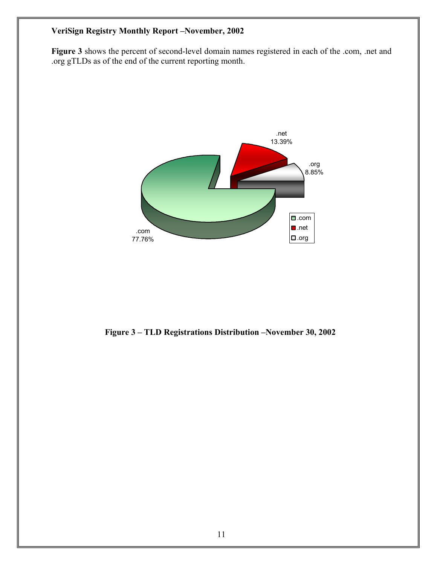<span id="page-10-0"></span>**Figure 3** shows the percent of second-level domain names registered in each of the .com, .net and .org gTLDs as of the end of the current reporting month.



 **Figure 3 – TLD Registrations Distribution –November 30, 2002**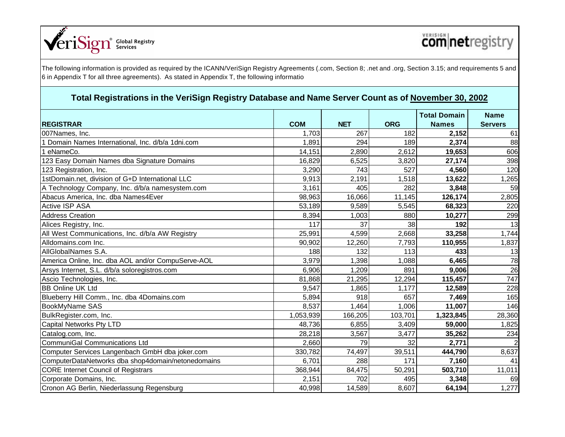

|                                                    |            |            |            | <b>Total Domain</b> | <b>Name</b>    |
|----------------------------------------------------|------------|------------|------------|---------------------|----------------|
| <b>REGISTRAR</b>                                   | <b>COM</b> | <b>NET</b> | <b>ORG</b> | <b>Names</b>        | <b>Servers</b> |
| 007Names, Inc.                                     | 1,703      | 267        | 182        | 2,152               | 61             |
| Domain Names International, Inc. d/b/a 1dni.com    | 1,891      | 294        | 189        | 2,374               | 88             |
| eNameCo.                                           | 14,151     | 2,890      | 2,612      | 19,653              | 606            |
| 123 Easy Domain Names dba Signature Domains        | 16,829     | 6,525      | 3,820      | 27,174              | 398            |
| 123 Registration, Inc.                             | 3,290      | 743        | 527        | 4,560               | 120            |
| 1stDomain.net, division of G+D International LLC   | 9,913      | 2,191      | 1,518      | 13,622              | 1,265          |
| A Technology Company, Inc. d/b/a namesystem.com    | 3,161      | 405        | 282        | 3,848               | 59             |
| Abacus America, Inc. dba Names4Ever                | 98,963     | 16,066     | 11,145     | 126,174             | 2,805          |
| <b>Active ISP ASA</b>                              | 53,189     | 9,589      | 5,545      | 68,323              | 220            |
| <b>Address Creation</b>                            | 8,394      | 1,003      | 880        | 10,277              | 299            |
| Alices Registry, Inc.                              | 117        | 37         | 38         | 192                 | 13             |
| All West Communications, Inc. d/b/a AW Registry    | 25,991     | 4,599      | 2,668      | 33,258              | 1,744          |
| Alldomains.com Inc.                                | 90,902     | 12,260     | 7,793      | 110,955             | 1,837          |
| AllGlobalNames S.A.                                | 188        | 132        | 113        | 433                 | 13             |
| America Online, Inc. dba AOL and/or CompuServe-AOL | 3,979      | 1,398      | 1,088      | 6,465               | 78             |
| Arsys Internet, S.L. d/b/a soloregistros.com       | 6,906      | 1,209      | 891        | 9,006               | 26             |
| Ascio Technologies, Inc.                           | 81,868     | 21,295     | 12,294     | 115,457             | 747            |
| <b>BB Online UK Ltd</b>                            | 9,547      | 1,865      | 1,177      | 12,589              | 228            |
| Blueberry Hill Comm., Inc. dba 4Domains.com        | 5,894      | 918        | 657        | 7,469               | 165            |
| BookMyName SAS                                     | 8,537      | 1,464      | 1,006      | 11,007              | 146            |
| BulkRegister.com, Inc.                             | 1,053,939  | 166,205    | 103,701    | 1,323,845           | 28,360         |
| Capital Networks Pty LTD                           | 48,736     | 6,855      | 3,409      | 59,000              | 1,825          |
| Catalog.com, Inc.                                  | 28,218     | 3,567      | 3,477      | 35,262              | 234            |
| <b>CommuniGal Communications Ltd</b>               | 2,660      | 79         | 32         | 2,771               |                |
| Computer Services Langenbach GmbH dba joker.com    | 330,782    | 74,497     | 39,511     | 444,790             | 8,637          |
| ComputerDataNetworks dba shop4domain/netonedomains | 6,701      | 288        | 171        | 7,160               | 41             |
| <b>CORE</b> Internet Council of Registrars         | 368,944    | 84,475     | 50,291     | 503,710             | 11,011         |
| Corporate Domains, Inc.                            | 2,151      | 702        | 495        | 3,348               | 69             |
| Cronon AG Berlin, Niederlassung Regensburg         | 40,998     | 14,589     | 8,607      | 64,194              | 1,277          |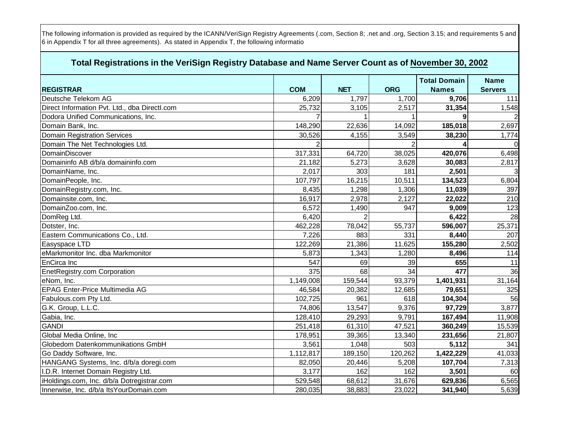|                                               |                |            |                | <b>Total Domain</b> | <b>Name</b>    |
|-----------------------------------------------|----------------|------------|----------------|---------------------|----------------|
| <b>REGISTRAR</b>                              | <b>COM</b>     | <b>NET</b> | <b>ORG</b>     | <b>Names</b>        | <b>Servers</b> |
| Deutsche Telekom AG                           | 6,209          | 1,797      | 1,700          | 9,706               | 111            |
| Direct Information Pvt. Ltd., dba Directl.com | 25,732         | 3,105      | 2,517          | 31,354              | 1,548          |
| Dodora Unified Communications, Inc.           |                |            |                | 9                   |                |
| Domain Bank, Inc.                             | 148,290        | 22,636     | 14,092         | 185,018             | 2,697          |
| <b>Domain Registration Services</b>           | 30,526         | 4,155      | 3,549          | 38,230              | 1,774          |
| Domain The Net Technologies Ltd.              | $\overline{2}$ |            | $\overline{2}$ |                     | $\Omega$       |
| DomainDiscover                                | 317,331        | 64,720     | 38,025         | 420,076             | 6,498          |
| Domaininfo AB d/b/a domaininfo.com            | 21,182         | 5,273      | 3,628          | 30,083              | 2,817          |
| DomainName, Inc.                              | 2,017          | 303        | 181            | 2,501               |                |
| DomainPeople, Inc.                            | 107,797        | 16,215     | 10,511         | 134,523             | 6,804          |
| DomainRegistry.com, Inc.                      | 8,435          | 1,298      | 1,306          | 11,039              | 397            |
| Domainsite.com, Inc.                          | 16,917         | 2,978      | 2,127          | 22,022              | 210            |
| DomainZoo.com, Inc.                           | 6,572          | 1,490      | 947            | 9,009               | 123            |
| DomReg Ltd.                                   | 6,420          |            |                | 6,422               | 28             |
| Dotster, Inc.                                 | 462,228        | 78,042     | 55,737         | 596,007             | 25,371         |
| Eastern Communications Co., Ltd.              | 7,226          | 883        | 331            | 8,440               | 207            |
| Easyspace LTD                                 | 122,269        | 21,386     | 11,625         | 155,280             | 2,502          |
| eMarkmonitor Inc. dba Markmonitor             | 5,873          | 1,343      | 1,280          | 8,496               | 114            |
| EnCirca Inc                                   | 547            | 69         | 39             | 655                 | 11             |
| EnetRegistry.com Corporation                  | 375            | 68         | 34             | 477                 | 36             |
| eNom, Inc.                                    | 1,149,008      | 159,544    | 93,379         | 1,401,931           | 31,164         |
| <b>EPAG Enter-Price Multimedia AG</b>         | 46,584         | 20,382     | 12,685         | 79,651              | 325            |
| Fabulous.com Pty Ltd.                         | 102,725        | 961        | 618            | 104,304             | 56             |
| G.K. Group, L.L.C.                            | 74,806         | 13,547     | 9,376          | 97,729              | 3,877          |
| Gabia, Inc.                                   | 128,410        | 29,293     | 9,791          | 167,494             | 11,908         |
| <b>GANDI</b>                                  | 251,418        | 61,310     | 47,521         | 360,249             | 15,539         |
| Global Media Online, Inc                      | 178,951        | 39,365     | 13,340         | 231,656             | 21,807         |
| Globedom Datenkommunikations GmbH             | 3,561          | 1,048      | 503            | 5,112               | 341            |
| Go Daddy Software, Inc.                       | 1,112,817      | 189,150    | 120,262        | 1,422,229           | 41,033         |
| HANGANG Systems, Inc. d/b/a doregi.com        | 82,050         | 20,446     | 5,208          | 107,704             | 7,313          |
| I.D.R. Internet Domain Registry Ltd.          | 3,177          | 162        | 162            | 3,501               | 60             |
| iHoldings.com, Inc. d/b/a Dotregistrar.com    | 529,548        | 68,612     | 31,676         | 629,836             | 6,565          |
| Innerwise, Inc. d/b/a ItsYourDomain.com       | 280,035        | 38,883     | 23,022         | 341,940             | 5,639          |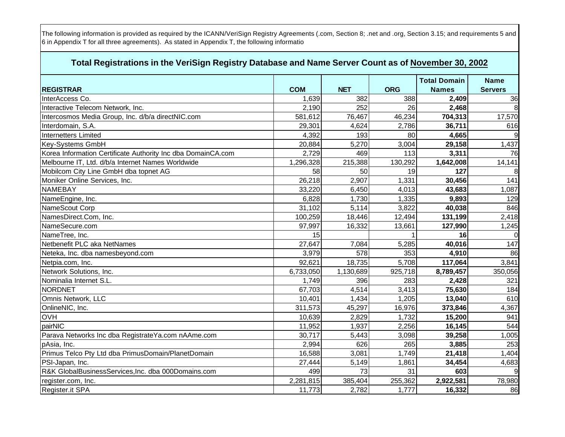|                                                              |            |            |            | <b>Total Domain</b> | <b>Name</b>    |
|--------------------------------------------------------------|------------|------------|------------|---------------------|----------------|
| <b>REGISTRAR</b>                                             | <b>COM</b> | <b>NET</b> | <b>ORG</b> | <b>Names</b>        | <b>Servers</b> |
| InterAccess Co.                                              | 1,639      | 382        | 388        | 2,409               | 36             |
| Interactive Telecom Network, Inc.                            | 2,190      | 252        | 26         | 2,468               |                |
| Intercosmos Media Group, Inc. d/b/a directNIC.com            | 581,612    | 76,467     | 46,234     | 704,313             | 17,570         |
| Interdomain, S.A.                                            | 29,301     | 4,624      | 2,786      | 36,711              | 616            |
| <b>Internetters Limited</b>                                  | 4,392      | 193        | 80         | 4,665               | 9              |
| Key-Systems GmbH                                             | 20,884     | 5,270      | 3,004      | 29,158              | 1,437          |
| Korea Information Certificate Authority Inc dba DomainCA.com | 2,729      | 469        | 113        | 3,311               | 76             |
| Melbourne IT, Ltd. d/b/a Internet Names Worldwide            | 1,296,328  | 215,388    | 130,292    | 1,642,008           | 14,141         |
| Mobilcom City Line GmbH dba topnet AG                        | 58         | 50         | 19         | 127                 | 8              |
| Moniker Online Services, Inc.                                | 26,218     | 2,907      | 1,331      | 30,456              | 141            |
| NAMEBAY                                                      | 33,220     | 6,450      | 4,013      | 43,683              | 1,087          |
| NameEngine, Inc.                                             | 6,828      | 1,730      | 1,335      | 9,893               | 129            |
| NameScout Corp                                               | 31,102     | 5,114      | 3,822      | 40,038              | 846            |
| NamesDirect.Com, Inc.                                        | 100,259    | 18,446     | 12,494     | 131,199             | 2,418          |
| NameSecure.com                                               | 97,997     | 16,332     | 13,661     | 127,990             | 1,245          |
| NameTree, Inc.                                               | 15         |            |            | 16                  | $\Omega$       |
| Netbenefit PLC aka NetNames                                  | 27,647     | 7,084      | 5,285      | 40,016              | 147            |
| Neteka, Inc. dba namesbeyond.com                             | 3,979      | 578        | 353        | 4,910               | 86             |
| Netpia.com, Inc.                                             | 92,621     | 18,735     | 5,708      | 117,064             | 3,841          |
| Network Solutions, Inc.                                      | 6,733,050  | 1,130,689  | 925,718    | 8,789,457           | 350,056        |
| Nominalia Internet S.L.                                      | 1,749      | 396        | 283        | 2,428               | 321            |
| <b>NORDNET</b>                                               | 67,703     | 4,514      | 3,413      | 75,630              | 184            |
| Omnis Network, LLC                                           | 10,401     | 1,434      | 1,205      | 13,040              | 610            |
| OnlineNIC, Inc.                                              | 311,573    | 45,297     | 16,976     | 373,846             | 4,367          |
| <b>OVH</b>                                                   | 10,639     | 2,829      | 1,732      | 15,200              | 941            |
| pairNIC                                                      | 11,952     | 1,937      | 2,256      | 16,145              | 544            |
| Parava Networks Inc dba RegistrateYa.com nAAme.com           | 30,717     | 5,443      | 3,098      | 39,258              | 1,005          |
| pAsia, Inc.                                                  | 2,994      | 626        | 265        | 3,885               | 253            |
| Primus Telco Pty Ltd dba PrimusDomain/PlanetDomain           | 16,588     | 3,081      | 1,749      | 21,418              | 1,404          |
| PSI-Japan, Inc.                                              | 27,444     | 5,149      | 1,861      | 34,454              | 4,683          |
| R&K GlobalBusinessServices, Inc. dba 000Domains.com          | 499        | 73         | 31         | 603                 |                |
| register.com, Inc.                                           | 2,281,815  | 385,404    | 255,362    | 2,922,581           | 78,980         |
| Register.it SPA                                              | 11,773     | 2,782      | 1,777      | 16,332              | 86             |